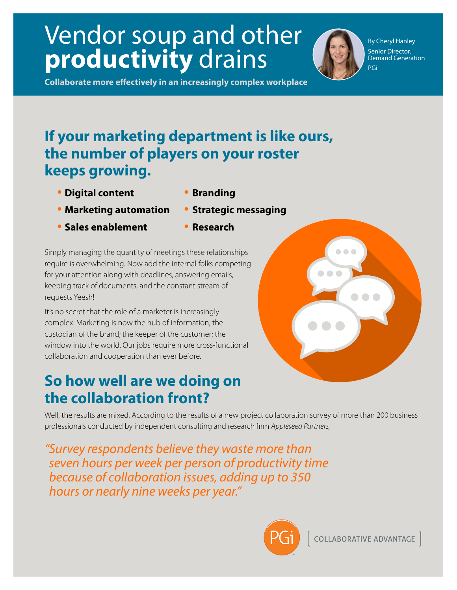## Vendor soup and other **productivity** drains

By Cheryl Hanley Senior Director, Demand Generation PGi

**Collaborate more effectively in an increasingly complex workplace** 

## **If your marketing department is like ours, the number of players on your roster keeps growing.**

- **Digital content Branding**
	-
- **Marketing automation Strategic messaging**
	-
- **Sales enablement Research**
	-

Simply managing the quantity of meetings these relationships require is overwhelming. Now add the internal folks competing for your attention along with deadlines, answering emails, keeping track of documents, and the constant stream of requests Yeesh!

It's no secret that the role of a marketer is increasingly complex. Marketing is now the hub of information; the custodian of the brand; the keeper of the customer; the window into the world. Our jobs require more cross-functional collaboration and cooperation than ever before.

## **So how well are we doing on the collaboration front?**

Well, the results are mixed. According to the results of a new project collaboration survey of more than 200 business professionals conducted by independent consulting and research firm Appleseed Partners,

" Survey respondents believe they waste more than seven hours per week per person of productivity time because of collaboration issues, adding up to 350 hours or nearly nine weeks per year."



**COLLABORATIVE ADVANTAGE** 

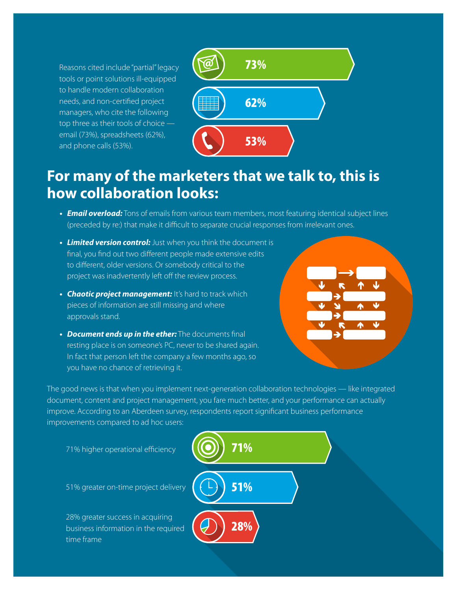Reasons cited include "partial" legacy tools or point solutions ill-equipped to handle modern collaboration needs, and non-certified project managers, who cite the following top three as their tools of choice email (73%), spreadsheets (62%), and phone calls (53%).



## **For many of the marketers that we talk to, this is how collaboration looks:**

- *Email overload:* Tons of emails from various team members, most featuring identical subject lines (preceded by re:) that make it difficult to separate crucial responses from irrelevant ones.
- *Limited version control:* Just when you think the document is final, you find out two different people made extensive edits to different, older versions. Or somebody critical to the project was inadvertently left off the review process.
- **Chaotic project management:** It's hard to track which pieces of information are still missing and where approvals stand.
- **Document ends up in the ether:** The documents final resting place is on someone's PC, never to be shared again. In fact that person left the company a few months ago, so you have no chance of retrieving it.



The good news is that when you implement next-generation collaboration technologies — like integrated document, content and project management, you fare much better, and your performance can actually improve. According to an Aberdeen survey, respondents report significant business performance improvements compared to ad hoc users: